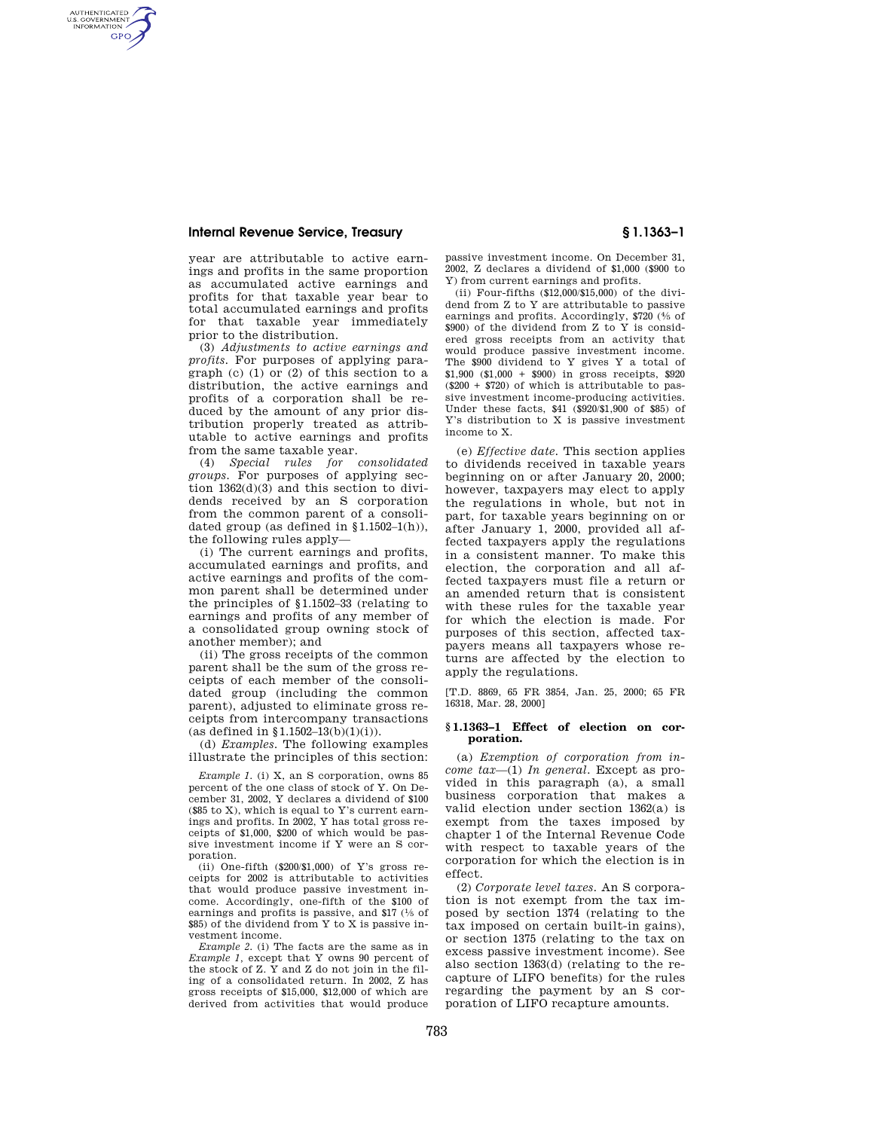## **Internal Revenue Service, Treasury § 1.1363–1**

AUTHENTICATED<br>U.S. GOVERNMENT<br>INFORMATION **GPO** 

> year are attributable to active earnings and profits in the same proportion as accumulated active earnings and profits for that taxable year bear to total accumulated earnings and profits for that taxable year immediately prior to the distribution.

> (3) *Adjustments to active earnings and profits.* For purposes of applying paragraph (c) (1) or (2) of this section to a distribution, the active earnings and profits of a corporation shall be reduced by the amount of any prior distribution properly treated as attributable to active earnings and profits from the same taxable year.

> (4) *Special rules for consolidated groups.* For purposes of applying section  $1362(d)(3)$  and this section to dividends received by an S corporation from the common parent of a consolidated group (as defined in  $§1.1502-1(h)$ ), the following rules apply—

> (i) The current earnings and profits, accumulated earnings and profits, and active earnings and profits of the common parent shall be determined under the principles of §1.1502–33 (relating to earnings and profits of any member of a consolidated group owning stock of another member); and

> (ii) The gross receipts of the common parent shall be the sum of the gross receipts of each member of the consolidated group (including the common parent), adjusted to eliminate gross receipts from intercompany transactions (as defined in  $$1.1502-13(b)(1)(i)$ ).

> (d) *Examples.* The following examples illustrate the principles of this section:

> *Example 1.* (i) X, an S corporation, owns 85 percent of the one class of stock of Y. On December 31, 2002, Y declares a dividend of \$100 (\$85 to X), which is equal to Y's current earnings and profits. In 2002, Y has total gross receipts of \$1,000, \$200 of which would be passive investment income if Y were an S corporation.

> (ii) One-fifth  $(\$200/\$1,000)$  of Y's gross receipts for 2002 is attributable to activities that would produce passive investment income. Accordingly, one-fifth of the \$100 of earnings and profits is passive, and  $$17$   $(^{1}/_{5}$  of \$85) of the dividend from Y to X is passive investment income.

> *Example 2.* (i) The facts are the same as in *Example 1,* except that Y owns 90 percent of the stock of Z. Y and Z do not join in the filing of a consolidated return. In 2002, Z has gross receipts of \$15,000, \$12,000 of which are derived from activities that would produce

passive investment income. On December 31, 2002, Z declares a dividend of \$1,000 (\$900 to Y) from current earnings and profits.

(ii) Four-fifths (\$12,000/\$15,000) of the dividend from Z to Y are attributable to passive earnings and profits. Accordingly, \$720 (4⁄5 of \$900) of the dividend from Z to Y is considered gross receipts from an activity that would produce passive investment income. The \$900 dividend to Y gives Y a total of \$1,900 (\$1,000 + \$900) in gross receipts, \$920 (\$200 + \$720) of which is attributable to passive investment income-producing activities. Under these facts, \$41 (\$920/\$1,900 of \$85) of Y's distribution to X is passive investment income to X.

(e) *Effective date.* This section applies to dividends received in taxable years beginning on or after January 20, 2000; however, taxpayers may elect to apply the regulations in whole, but not in part, for taxable years beginning on or after January 1, 2000, provided all affected taxpayers apply the regulations in a consistent manner. To make this election, the corporation and all affected taxpayers must file a return or an amended return that is consistent with these rules for the taxable year for which the election is made. For purposes of this section, affected taxpayers means all taxpayers whose returns are affected by the election to apply the regulations.

[T.D. 8869, 65 FR 3854, Jan. 25, 2000; 65 FR 16318, Mar. 28, 2000]

## **§ 1.1363–1 Effect of election on corporation.**

(a) *Exemption of corporation from income tax*—(1) *In general.* Except as provided in this paragraph (a), a small business corporation that makes a valid election under section 1362(a) is exempt from the taxes imposed by chapter 1 of the Internal Revenue Code with respect to taxable years of the corporation for which the election is in effect.

(2) *Corporate level taxes.* An S corporation is not exempt from the tax imposed by section 1374 (relating to the tax imposed on certain built-in gains), or section 1375 (relating to the tax on excess passive investment income). See also section 1363(d) (relating to the recapture of LIFO benefits) for the rules regarding the payment by an S corporation of LIFO recapture amounts.